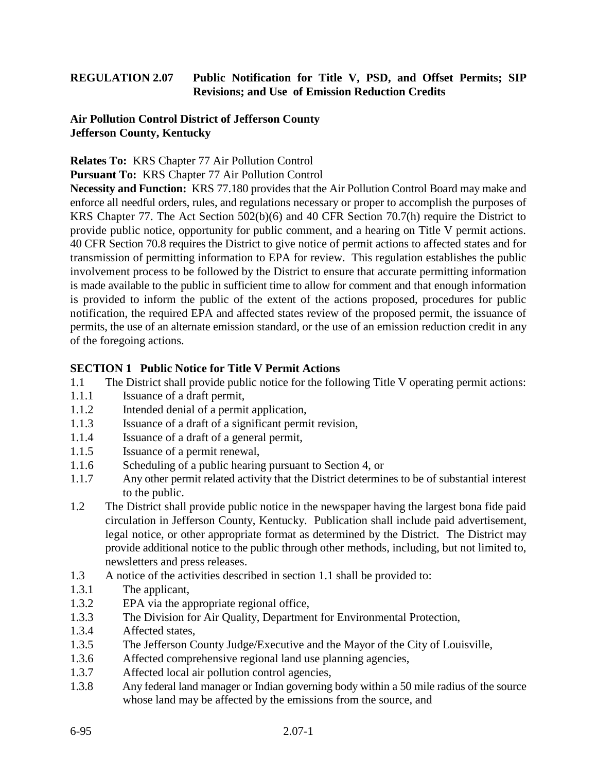## **REGULATION 2.07 Public Notification for Title V, PSD, and Offset Permits; SIP Revisions; and Use of Emission Reduction Credits**

#### **Air Pollution Control District of Jefferson County Jefferson County, Kentucky**

#### **Relates To:** KRS Chapter 77 Air Pollution Control

#### **Pursuant To:** KRS Chapter 77 Air Pollution Control

**Necessity and Function:** KRS 77.180 provides that the Air Pollution Control Board may make and enforce all needful orders, rules, and regulations necessary or proper to accomplish the purposes of KRS Chapter 77. The Act Section 502(b)(6) and 40 CFR Section 70.7(h) require the District to provide public notice, opportunity for public comment, and a hearing on Title V permit actions. 40 CFR Section 70.8 requires the District to give notice of permit actions to affected states and for transmission of permitting information to EPA for review. This regulation establishes the public involvement process to be followed by the District to ensure that accurate permitting information is made available to the public in sufficient time to allow for comment and that enough information is provided to inform the public of the extent of the actions proposed, procedures for public notification, the required EPA and affected states review of the proposed permit, the issuance of permits, the use of an alternate emission standard, or the use of an emission reduction credit in any of the foregoing actions.

#### **SECTION 1 Public Notice for Title V Permit Actions**

- 1.1 The District shall provide public notice for the following Title V operating permit actions:
- 1.1.1 Issuance of a draft permit,
- 1.1.2 Intended denial of a permit application,
- 1.1.3 Issuance of a draft of a significant permit revision,
- 1.1.4 Issuance of a draft of a general permit,
- 1.1.5 Issuance of a permit renewal,
- 1.1.6 Scheduling of a public hearing pursuant to Section 4, or
- 1.1.7 Any other permit related activity that the District determines to be of substantial interest to the public.
- 1.2 The District shall provide public notice in the newspaper having the largest bona fide paid circulation in Jefferson County, Kentucky. Publication shall include paid advertisement, legal notice, or other appropriate format as determined by the District. The District may provide additional notice to the public through other methods, including, but not limited to, newsletters and press releases.
- 1.3 A notice of the activities described in section 1.1 shall be provided to:
- 1.3.1 The applicant,
- 1.3.2 EPA via the appropriate regional office,
- 1.3.3 The Division for Air Quality, Department for Environmental Protection,
- 1.3.4 Affected states,
- 1.3.5 The Jefferson County Judge/Executive and the Mayor of the City of Louisville,
- 1.3.6 Affected comprehensive regional land use planning agencies,
- 1.3.7 Affected local air pollution control agencies,
- 1.3.8 Any federal land manager or Indian governing body within a 50 mile radius of the source whose land may be affected by the emissions from the source, and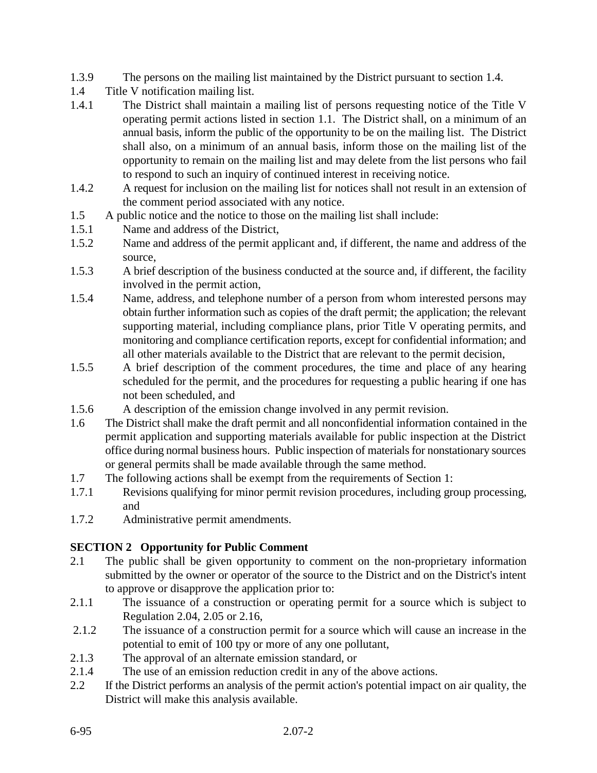- 1.3.9 The persons on the mailing list maintained by the District pursuant to section 1.4.
- 1.4 Title V notification mailing list.
- 1.4.1 The District shall maintain a mailing list of persons requesting notice of the Title V operating permit actions listed in section 1.1. The District shall, on a minimum of an annual basis, inform the public of the opportunity to be on the mailing list. The District shall also, on a minimum of an annual basis, inform those on the mailing list of the opportunity to remain on the mailing list and may delete from the list persons who fail to respond to such an inquiry of continued interest in receiving notice.
- 1.4.2 A request for inclusion on the mailing list for notices shall not result in an extension of the comment period associated with any notice.
- 1.5 A public notice and the notice to those on the mailing list shall include:
- 1.5.1 Name and address of the District,
- 1.5.2 Name and address of the permit applicant and, if different, the name and address of the source,
- 1.5.3 A brief description of the business conducted at the source and, if different, the facility involved in the permit action,
- 1.5.4 Name, address, and telephone number of a person from whom interested persons may obtain further information such as copies of the draft permit; the application; the relevant supporting material, including compliance plans, prior Title V operating permits, and monitoring and compliance certification reports, except for confidential information; and all other materials available to the District that are relevant to the permit decision,
- 1.5.5 A brief description of the comment procedures, the time and place of any hearing scheduled for the permit, and the procedures for requesting a public hearing if one has not been scheduled, and
- 1.5.6 A description of the emission change involved in any permit revision.
- 1.6 The District shall make the draft permit and all nonconfidential information contained in the permit application and supporting materials available for public inspection at the District office during normal business hours. Public inspection of materials for nonstationary sources or general permits shall be made available through the same method.
- 1.7 The following actions shall be exempt from the requirements of Section 1:
- 1.7.1 Revisions qualifying for minor permit revision procedures, including group processing, and
- 1.7.2 Administrative permit amendments.

# **SECTION 2 Opportunity for Public Comment**

- 2.1 The public shall be given opportunity to comment on the non-proprietary information submitted by the owner or operator of the source to the District and on the District's intent to approve or disapprove the application prior to:
- 2.1.1 The issuance of a construction or operating permit for a source which is subject to Regulation 2.04, 2.05 or 2.16,
- 2.1.2 The issuance of a construction permit for a source which will cause an increase in the potential to emit of 100 tpy or more of any one pollutant,
- 2.1.3 The approval of an alternate emission standard, or
- 2.1.4 The use of an emission reduction credit in any of the above actions.
- 2.2 If the District performs an analysis of the permit action's potential impact on air quality, the District will make this analysis available.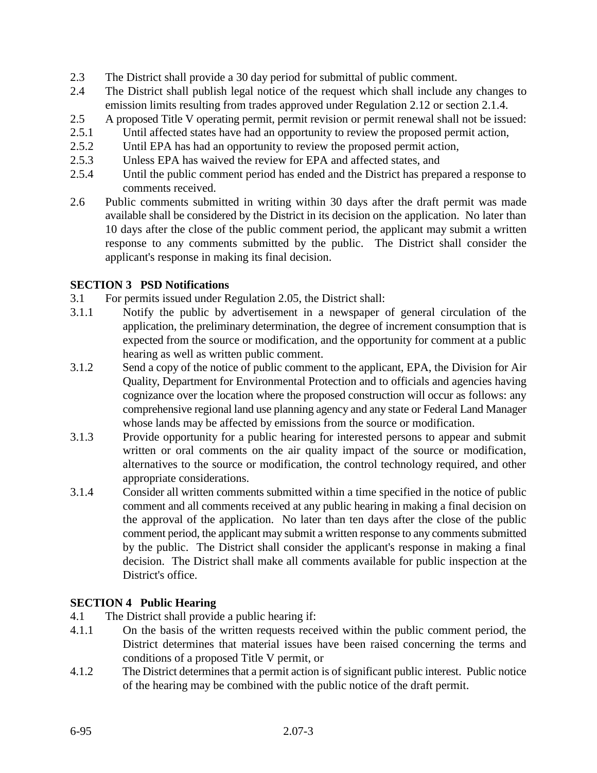- 2.3 The District shall provide a 30 day period for submittal of public comment.
- 2.4 The District shall publish legal notice of the request which shall include any changes to emission limits resulting from trades approved under Regulation 2.12 or section 2.1.4.
- 2.5 A proposed Title V operating permit, permit revision or permit renewal shall not be issued:
- 2.5.1 Until affected states have had an opportunity to review the proposed permit action,
- 2.5.2 Until EPA has had an opportunity to review the proposed permit action,
- 2.5.3 Unless EPA has waived the review for EPA and affected states, and
- 2.5.4 Until the public comment period has ended and the District has prepared a response to comments received.
- 2.6 Public comments submitted in writing within 30 days after the draft permit was made available shall be considered by the District in its decision on the application. No later than 10 days after the close of the public comment period, the applicant may submit a written response to any comments submitted by the public. The District shall consider the applicant's response in making its final decision.

#### **SECTION 3 PSD Notifications**

- 3.1 For permits issued under Regulation 2.05, the District shall:
- 3.1.1 Notify the public by advertisement in a newspaper of general circulation of the application, the preliminary determination, the degree of increment consumption that is expected from the source or modification, and the opportunity for comment at a public hearing as well as written public comment.
- 3.1.2 Send a copy of the notice of public comment to the applicant, EPA, the Division for Air Quality, Department for Environmental Protection and to officials and agencies having cognizance over the location where the proposed construction will occur as follows: any comprehensive regional land use planning agency and any state or Federal Land Manager whose lands may be affected by emissions from the source or modification.
- 3.1.3 Provide opportunity for a public hearing for interested persons to appear and submit written or oral comments on the air quality impact of the source or modification, alternatives to the source or modification, the control technology required, and other appropriate considerations.
- 3.1.4 Consider all written comments submitted within a time specified in the notice of public comment and all comments received at any public hearing in making a final decision on the approval of the application. No later than ten days after the close of the public comment period, the applicant may submit a written response to any comments submitted by the public. The District shall consider the applicant's response in making a final decision. The District shall make all comments available for public inspection at the District's office.

## **SECTION 4 Public Hearing**

- 4.1 The District shall provide a public hearing if:
- 4.1.1 On the basis of the written requests received within the public comment period, the District determines that material issues have been raised concerning the terms and conditions of a proposed Title V permit, or
- 4.1.2 The District determines that a permit action is of significant public interest. Public notice of the hearing may be combined with the public notice of the draft permit.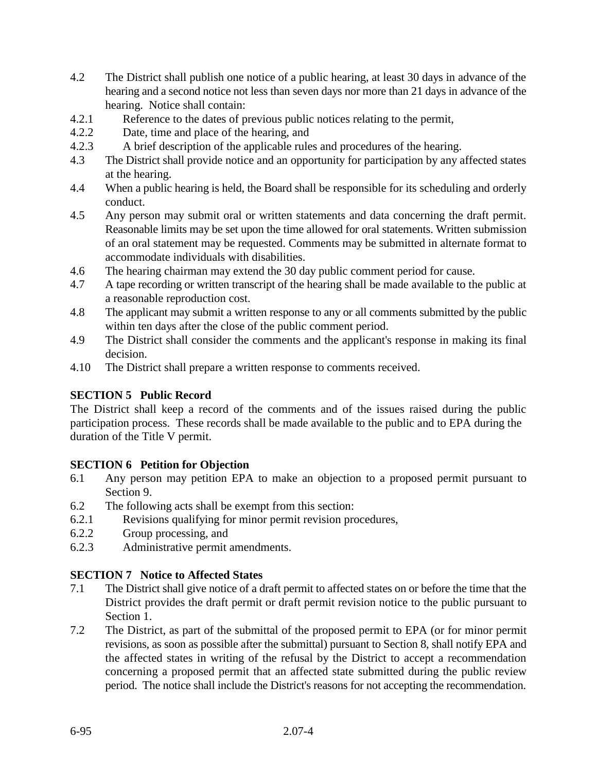- 4.2 The District shall publish one notice of a public hearing, at least 30 days in advance of the hearing and a second notice not less than seven days nor more than 21 days in advance of the hearing. Notice shall contain:
- 4.2.1 Reference to the dates of previous public notices relating to the permit,
- 4.2.2 Date, time and place of the hearing, and
- 4.2.3 A brief description of the applicable rules and procedures of the hearing.
- 4.3 The District shall provide notice and an opportunity for participation by any affected states at the hearing.
- 4.4 When a public hearing is held, the Board shall be responsible for its scheduling and orderly conduct.
- 4.5 Any person may submit oral or written statements and data concerning the draft permit. Reasonable limits may be set upon the time allowed for oral statements. Written submission of an oral statement may be requested. Comments may be submitted in alternate format to accommodate individuals with disabilities.
- 4.6 The hearing chairman may extend the 30 day public comment period for cause.
- 4.7 A tape recording or written transcript of the hearing shall be made available to the public at a reasonable reproduction cost.
- 4.8 The applicant may submit a written response to any or all comments submitted by the public within ten days after the close of the public comment period.
- 4.9 The District shall consider the comments and the applicant's response in making its final decision.
- 4.10 The District shall prepare a written response to comments received.

## **SECTION 5 Public Record**

The District shall keep a record of the comments and of the issues raised during the public participation process. These records shall be made available to the public and to EPA during the duration of the Title V permit.

#### **SECTION 6 Petition for Objection**

- 6.1 Any person may petition EPA to make an objection to a proposed permit pursuant to Section 9.
- 6.2 The following acts shall be exempt from this section:
- 6.2.1 Revisions qualifying for minor permit revision procedures,
- 6.2.2 Group processing, and
- 6.2.3 Administrative permit amendments.

## **SECTION 7 Notice to Affected States**

- 7.1 The District shall give notice of a draft permit to affected states on or before the time that the District provides the draft permit or draft permit revision notice to the public pursuant to Section 1.
- 7.2 The District, as part of the submittal of the proposed permit to EPA (or for minor permit revisions, as soon as possible after the submittal) pursuant to Section 8, shall notify EPA and the affected states in writing of the refusal by the District to accept a recommendation concerning a proposed permit that an affected state submitted during the public review period. The notice shall include the District's reasons for not accepting the recommendation.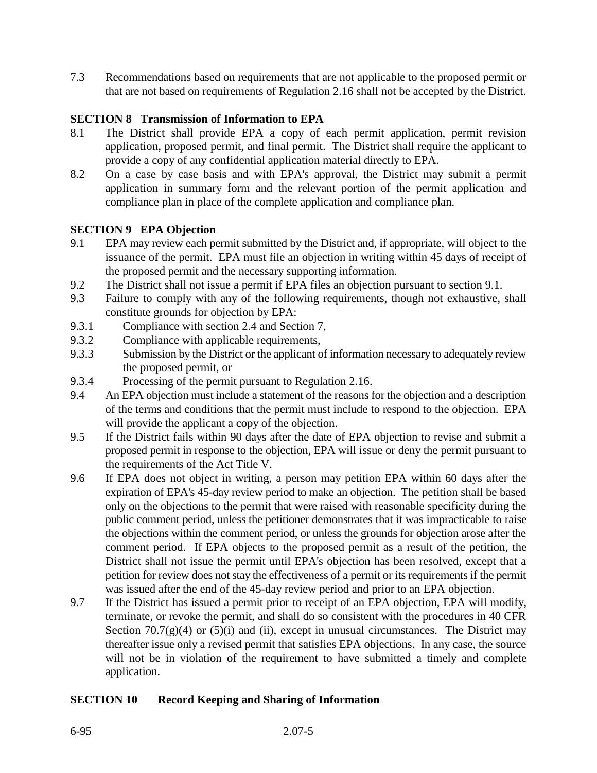7.3 Recommendations based on requirements that are not applicable to the proposed permit or that are not based on requirements of Regulation 2.16 shall not be accepted by the District.

## **SECTION 8 Transmission of Information to EPA**

- 8.1 The District shall provide EPA a copy of each permit application, permit revision application, proposed permit, and final permit. The District shall require the applicant to provide a copy of any confidential application material directly to EPA.
- 8.2 On a case by case basis and with EPA's approval, the District may submit a permit application in summary form and the relevant portion of the permit application and compliance plan in place of the complete application and compliance plan.

#### **SECTION 9 EPA Objection**

- 9.1 EPA may review each permit submitted by the District and, if appropriate, will object to the issuance of the permit. EPA must file an objection in writing within 45 days of receipt of the proposed permit and the necessary supporting information.
- 9.2 The District shall not issue a permit if EPA files an objection pursuant to section 9.1.
- 9.3 Failure to comply with any of the following requirements, though not exhaustive, shall constitute grounds for objection by EPA:
- 9.3.1 Compliance with section 2.4 and Section 7,
- 9.3.2 Compliance with applicable requirements,
- 9.3.3 Submission by the District or the applicant of information necessary to adequately review the proposed permit, or
- 9.3.4 Processing of the permit pursuant to Regulation 2.16.
- 9.4 An EPA objection must include a statement of the reasons for the objection and a description of the terms and conditions that the permit must include to respond to the objection. EPA will provide the applicant a copy of the objection.
- 9.5 If the District fails within 90 days after the date of EPA objection to revise and submit a proposed permit in response to the objection, EPA will issue or deny the permit pursuant to the requirements of the Act Title V.
- 9.6 If EPA does not object in writing, a person may petition EPA within 60 days after the expiration of EPA's 45-day review period to make an objection. The petition shall be based only on the objections to the permit that were raised with reasonable specificity during the public comment period, unless the petitioner demonstrates that it was impracticable to raise the objections within the comment period, or unless the grounds for objection arose after the comment period. If EPA objects to the proposed permit as a result of the petition, the District shall not issue the permit until EPA's objection has been resolved, except that a petition for review does not stay the effectiveness of a permit or its requirements if the permit was issued after the end of the 45-day review period and prior to an EPA objection.
- 9.7 If the District has issued a permit prior to receipt of an EPA objection, EPA will modify, terminate, or revoke the permit, and shall do so consistent with the procedures in 40 CFR Section  $70.7(g)(4)$  or  $(5)(i)$  and (ii), except in unusual circumstances. The District may thereafter issue only a revised permit that satisfies EPA objections. In any case, the source will not be in violation of the requirement to have submitted a timely and complete application.

## **SECTION 10 Record Keeping and Sharing of Information**